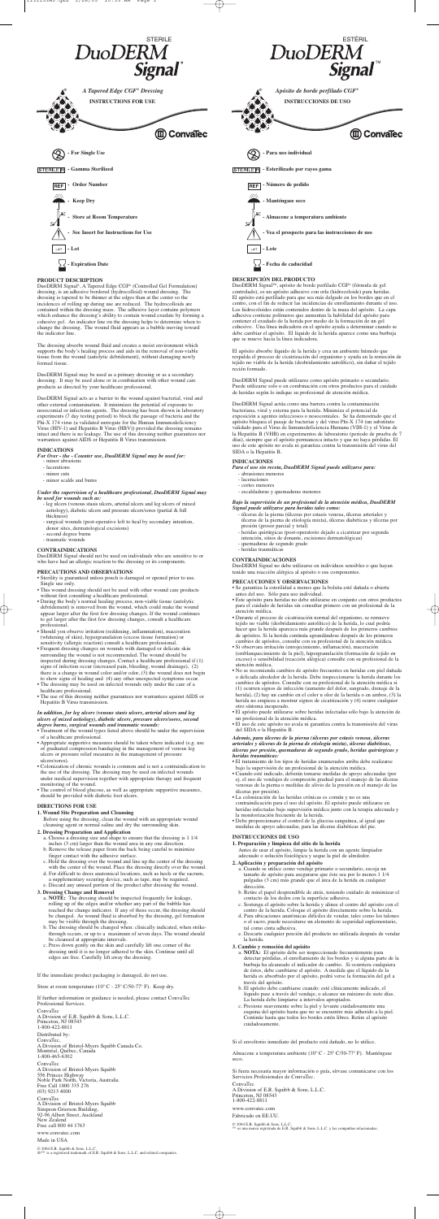### **PRODUCT DESCRIPTION**

DuoDERM Signal®, A Tapered Edge CGF® (Controlled Gel Formulation) dressing, is an adhesive bordered (hydrocolloid) wound dressing. The dressing is tapered to be thinner at the edges than at the center so the incidences of rolling up during use are reduced. The hydrocolloids are contained within the dressing mass. The adhesive layer contains polymers which enhance the dressing's ability to contain wound exudate by forming a cohesive gel. An indicator line on the dressing helps to determine when to change the dressing. The wound fluid appears as a bubble moving toward the indicator line.

The dressing absorbs wound fluid and creates a moist environment which supports the body's healing process and aids in the removal of non-viable tissue from the wound (autolytic debridement), without damaging newly formed tissue.

DuoDERM Signal may be used as a primary dressing or as a secondary dressing. It may be used alone or in combination with other wound care products as directed by your healthcare professional.

DuoDERM Signal acts as a barrier to the wound against bacterial, viral and other external contamination. It minimizes the potential of exposure to nosocomial or infectious agents. The dressing has been shown in laboratory experiments (7 day testing period) to block the passage of bacteria and the Phi-X 174 virus (a validated surrogate for the Human Immunodeficiency Virus (HIV-1) and Hepatitis B Virus (HBV)) provided the dressing remains intact and there is no leakage. The use of this dressing neither guarantees nor warrantees against AIDS or Hepatitis B Virus transmission.

### **INDICATIONS**

*For Over - the - Counter use, DuoDERM Signal may be used for:* - minor abrasions

- 
- lacerations
- minor cuts
- minor scalds and burns

### *Under the supervision of a healthcare professional, DuoDERM Signal may be used for wounds such as:*

- Treatment of the wound types listed above should be under the supervision of a healthcare professional.
- Appropriate supportive measures should be taken where indicated (e.g. use of graduated compression bandaging in the management of venous leg ulcers or pressure relief measures in the management of pressure ulcers/sores).
- Colonization of chronic wounds is common and is not a contraindication to the use of the dressing. The dressing may be used on infected wounds under medical supervision together with appropriate therapy and frequent monitoring of the wound.
- The control of blood glucose, as well as appropriate supportive measures, should be provided with diabetic foot ulcers.
- leg ulcers (venous stasis ulcers, arterial ulcers and leg ulcers of mixed aetiology), diabetic ulcers and pressure ulcers/sores (partial & full thickness)
- surgical wounds (post-operative left to heal by secondary intention, donor sites, dermatological excisions)
- second degree burns
- traumatic wounds

# **CONTRAINDICATIONS**

DuoDERM Signal should not be used on individuals who are sensitive to or who have had an allergic reaction to the dressing or its components.

### **PRECAUTIONS AND OBSERVATIONS**

appear larger after the first few dressing changes. If the wound continues to get larger after the first few dressing changes, consult a healthcare professional.

- Should you observe irritation (reddening, inflammation), maceration (whitening of skin), hypergranulation (excess tissue formation) or sensitivity (allergic reaction) consult a healthcare professional.
- Frequent dressing changes on wounds with damaged or delicate skin surrounding the wound is not recommended. The wound should be inspected during dressing changes. Contact a healthcare professional if (1) signs of infection occur (increased pain, bleeding, wound drainage), (2) there is a change in wound color and/or odor, (3) the wound does not begin
- to show signs of healing and (4) any other unexpected symptoms occur. • The dressing may be used on infected wounds only under the care of a healthcare professional.
- The use of this dressing neither guarantees nor warrantees against AIDS or Hepatitis B Virus transmission.

#### *In addition, for leg ulcers (venous stasis ulcers, arterial ulcers and leg ulcers of mixed aetiology), diabetic ulcers, pressure ulcers/sores, second degree burns, surgical wounds and traumatic wounds:*

# **DIRECTIONS FOR USE**

- **1. Wound Site Preparation and Cleansing**
- Before using the dressing, clean the wound with an appropriate wound cleansing agent or normal saline and dry the surrounding skin.
- **2. Dressing Preparation and Application** a. Choose a dressing size and shape to ensure that the dressing is 1 1/4
	- inches (3 cm) larger than the wound area in any one direction. b. Remove the release paper from the back being careful to minimize
	- finger contact with the adhesive surface. c. Hold the dressing over the wound and line up the center of the dressing
	- with the center of the wound. Place the dressing directly over the wound. d. For difficult to dress anatomical locations, such as heels or the sacrum,
	- a supplementary securing device, such as tape, may be required. e. Discard any unused portion of the product after dressing the wound.

## **3. Dressing Change and Removal**

- Sterility is guaranteed unless pouch is damaged or opened prior to use. Single use only.
- This wound dressing should not be used with other wound care products without first consulting a healthcare professional.
- During the body's normal healing process, non-viable tissue (autolytic debridement) is removed from the wound, which could make the wound
- abrasiones menores - laceraciones - cortes menores - escaldaduras y quemaduras menores

- a. **NOTE:** The dressing should be inspected frequently for leakage, rolling up of the edges and/or whether any part of the bubble has reached the change indicator. If any of these occur, the dressing should be changed. As wound fluid is absorbed by the dressing, gel formation may be visible through the dressing.
- b. The dressing should be changed when: clinically indicated, when strikethrough occurs, or up to a maximum of seven days. The wound should be cleansed at appropriate intervals.
- c. Press down gently on the skin and carefully lift one corner of the dressing until it is no longer adhered to the skin. Continue until all edges are free. Carefully lift away the dressing.

If the immediate product packaging is damaged, do not use.

Store at room temperature (10º C - 25º C/50-77º F). Keep dry.

If further information or guidance is needed, please contact ConvaTec Professional Services.

ConvaTec

A Division of E.R. Squibb & Sons, L.L.C. Princeton, NJ 08543 1-800-422-8811

Distributed by:

ConvaTec, A Division of Bristol-Myers Squibb Canada Co. Montréal, Québec, Canada 1-800-465-6302

ConvaTec A Division of Bristol-Myers Squibb 556 Princes Highway Noble Park North, Victoria, Australia Free Call 1800 335 276 (03) 9213 4000 ConvaTec

A Division of Bristol-Myers Squibb Simpson Grierson Building, 92-96 Albert Street, Auckland New Zealend Free call 800 44 1763 www.convatec.com

Made in USA

© 2004 E.R. Squibb & Sons, L.L.C.<br>®/™ is a registered trademark of E.R. Squibb & Sons, L.L.C. and related companies.

**DESCRIPCIÓN DEL PRODUCTO**

DuoDERM SignalTM, apósito de borde perfilado CGF® (fórmula de gel controlado), es un apósito adhesivo con orla (hidrocoloide) para heridas. El apósito está perfilado para que sea más delgado en los bordes que en el centro, con el fin de reducir las incidencias de enrollamiento durante el uso. Los hidrocoloides están contenidos dentro de la masa del apósito. La capa adhesiva contiene polímeros que aumentan la habilidad del apósito para contener el exudado de la herida por medio de la formación de un gel cohesivo. Una línea indicadora en el apósito ayuda a determinar cuando se debe cambiar el apósito. El líquido de la herida aparece como una burbuja

que se mueve hacia la línea indicadora.

El apósito absorbe líquido de la herida y crea un ambiente húmedo que respalda el proceso de cicatrización del organismo y ayuda en la remoción de tejido no viable de la herida (desbridamiento autolítico), sin dañar el tejido

recién formado.

DuoDERM Signal puede utilizarse como apósito primario o secundario. Puede utilizarse solo o en combinación con otros productos para el cuidado

de heridas según lo indique su profesional de atención médica. DuoDERM Signal actúa como una barrera contra la contaminación bacteriana, viral y externa para la herida. Minimiza el potencial de exposición a agentes infecciosos o nosocomiales. Se ha demostrado que el apósito bloquea el pasaje de bacterias y del virus Phi-X 174 (un substituto validado para el Virus de Inmunodeficiencia Humana (VIH-1) y el Virus de la Hepatitis B (VHB) en experimentos de laboratorio (periodo de prueba de 7 días), siempre que el apósito permanezca intacto y que no haya pérdidas. El uso de este apósito no avala ni garantiza contra la transmisión del virus del

SIDA o la Hepatitis B. **INDICACIONES**

*Para el uso sin receta, DuoDERM Signal puede utilizarse para:*

## *Bajo la supervisión de un profesional de la atención médica, DuoDERM Signal puede utilizarse para heridas tales como:*

- úlceras de la pierna (úlceras por estasis venosa, úlceras arteriales y úlceras de la pierna de etiología mixta), úlceras diabéticas y úlceras por presión (grosor parcial y total)
- heridas quirúrgicas (post-operatorio dejado a cicatrizar por segunda intención, sitios de donante, escisiones dermatológicas)
- quemaduras de segundo grado
- heridas traumáticas

### **CONTRAINDICACIONES**

DuoDERM Signal no debe utilizarse en individuos sensibles o que hayan tenido una reacción alérgica al apósito o sus componentes.

#### **PRECAUCIONES Y OBSERVACIONES** • Se garantiza la esterilidad a menos que la bolsita esté dañada o abierta

- antes del uso. Sólo para uso individual.
- Este apósito para heridas no debe utilizarse en conjunto con otros productos para el cuidado de heridas sin consultar primero con un profesional de la
- atención médica.
- Durante el proceso de cicatrización normal del organismo, se remueve tejido no viable (desbridamiento autolítico) de la herida, lo cual podría hacer que la herida aparezca más grande después de los primeros cambios de apósitos. Si la herida continúa agrandándose después de los primeros cambios de apósitos, consulte con su profesional de la atención médica.
- Si observara irritación (enrojecimiento, inflamación), maceración (emblanquecimiento de la piel), hipergranulación (formación de tejido en exceso) o sensibilidad (reacción alérgica) consulte con su profesional de la atención médica.
- No se recomienda cambios de apósito frecuentes en heridas con piel dañada o delicada alrededor de la herida. Debe inspeccionarse la herida durante los cambios de apósitos. Consulte con su profesional de la atención médica si (1) ocurren signos de infección (aumento del dolor, sangrado, drenaje de la herida), (2) hay un cambio en el color u olor de la herida o en ambos, (3) la herida no empieza a mostrar signos de cicatrización y (4) ocurre cualquier otro síntoma inesperado.
- El apósito puede utilizarse sobre heridas infectadas sólo bajo la atención de un profesional de la atención médica.
- El uso de este apósito no avala ni garantiza contra la transmisión del virus del SIDA o la Hepatitis B.

### *Además, para úlceras de la pierna (úlceras por estasis venosa, úlceras arteriales y úlceras de la pierna de etiología mixta), úlceras diabéticas, úlceras por presión, quemaduras de segundo grado, heridas quirúrgicas y heridas traumáticas:*

- El tratamiento de los tipos de heridas enumerados arriba debe realizarse bajo la supervisión de un profesional de la atención médica.
- Cuando esté indicado, deberán tomarse medidas de apoyo adecuadas (por ej. el uso de vendajes de compresión gradual para el manejo de las úlceras venosas de la pierna o medidas de alivio de la presión en el manejo de las úlceras por presión).
- La colonización de las heridas crónicas es común y no es una contraindicación para el uso del apósito. El apósito puede utilizarse en heridas infectadas bajo supervisión médica junto con la terapia adecuada y la monitorización frecuente de la herida.
- Debe proporcionarse el control de la glucosa sanguínea, al igual que medidas de apoyo adecuadas, para las úlceras diabéticas del pie.

### **INSTRUCCIONES DE USO**

# **1. Preparación y limpieza del sitio de la herida**

Antes de usar el apósito, limpie la herida con un agente limpiador adecuado o solución fisiológica y seque la piel de alrededor.

# **2. Aplicación y preparación del apósito**

- a. Cuando se utilice como vendaje primario o secundario, escoja un tamaño de apósito para asegurarse que éste sea por lo menos 1 1/4 pulgadas (3 cm) más grande que el área de la herida en cualquier dirección.
- b. Retire el papel desprendible de atrás, teniendo cuidado de minimizar el contacto de los dedos con la superficie adhesiva.
- c. Sostenga el apósito sobre la herida y alinee el centro del apósito con el centro de la herida. Coloque el apósito directamente sobre la herida.
- d. Para ubicaciones anatómicas difíciles de vendar, tales como los talones o el sacro, puede necesitarse un elemento de seguridad suplementario, tal como cinta adhesiva.
- e. Descarte cualquier porción del producto no utilizada después de vendar la herida.

### **3. Cambio y remoción del apósito**

- a. **NOTA:** El apósito debe ser inspeccionado frecuentemente para detectar pérdidas, el enrollamiento de los bordes y si alguna parte de la burbuja ha alcanzado el indicador de cambio. Si ocurriera cualquiera de éstos, debe cambiarse el apósito. A medida que el líquido de la herida es absorbido por el apósito, podrá verse la formación del gel a través del apósito.
- b. El apósito debe cambiarse cuando: esté clínicamente indicado, el líquido pase a través del vendaje, o alcance un máximo de siete días. La herida debe limpiarse a intervalos apropiados.
- c. Presione suavemente sobre la piel y levante cuidadosamente una esquina del apósito hasta que no se encuentre más adherido a la piel. Continúe hasta que todos los bordes estén libres. Retire el apósito cuidadosamente.

Si el envoltorio inmediato del producto está dañado, no lo utilice.

Almacene a temperatura ambiente (10º C - 25º C/50-77º F). Manténgase seco.

Si fuera necesaria mayor información o guía, sírvase comunicarse con los Servicios Profesionales de ConvaTec.

ConvaTec A Division of E.R. Squibb & Sons, L.L.C. Princeton, NJ 08543 1-800-422-8811 www.convatec.com Fabricado en EE.UU.

 $\rightarrow$ 

© 2004 E.R. Squibb & Sons, L.L.C. ™ es una marca registrada de E.R. Squibb & Sons, L.L.C. y las compañías relacionadas.